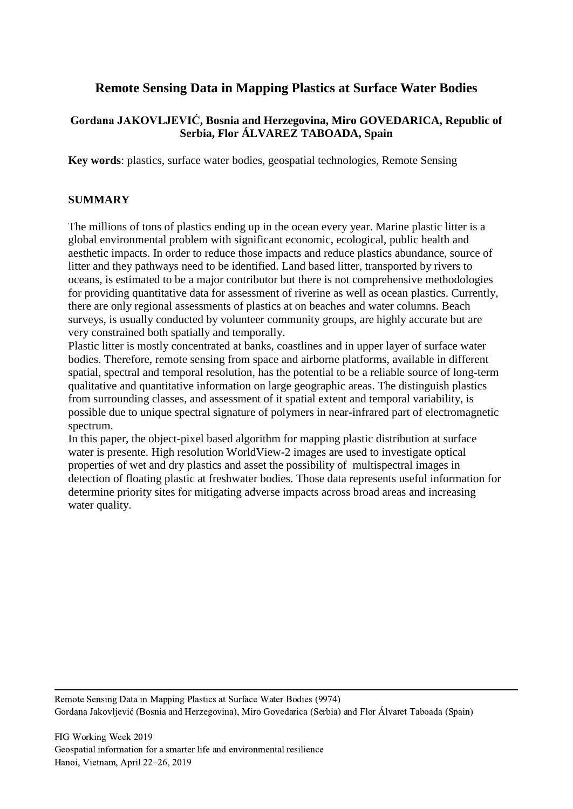# **Remote Sensing Data in Mapping Plastics at Surface Water Bodies**

## **Gordana JAKOVLJEVIĆ, Bosnia and Herzegovina, Miro GOVEDARICA, Republic of Serbia, Flor ÁLVAREZ TABOADA, Spain**

**Key words**: plastics, surface water bodies, geospatial technologies, Remote Sensing

### **SUMMARY**

The millions of tons of plastics ending up in the ocean every year. Marine plastic litter is a global environmental problem with significant economic, ecological, public health and aesthetic impacts. In order to reduce those impacts and reduce plastics abundance, source of litter and they pathways need to be identified. Land based litter, transported by rivers to oceans, is estimated to be a major contributor but there is not comprehensive methodologies for providing quantitative data for assessment of riverine as well as ocean plastics. Currently, there are only regional assessments of plastics at on beaches and water columns. Beach surveys, is usually conducted by volunteer community groups, are highly accurate but are very constrained both spatially and temporally.

Plastic litter is mostly concentrated at banks, coastlines and in upper layer of surface water bodies. Therefore, remote sensing from space and airborne platforms, available in different spatial, spectral and temporal resolution, has the potential to be a reliable source of long-term qualitative and quantitative information on large geographic areas. The distinguish plastics from surrounding classes, and assessment of it spatial extent and temporal variability, is possible due to unique spectral signature of polymers in near-infrared part of electromagnetic spectrum.

In this paper, the object-pixel based algorithm for mapping plastic distribution at surface water is presente. High resolution WorldView-2 images are used to investigate optical properties of wet and dry plastics and asset the possibility of multispectral images in detection of floating plastic at freshwater bodies. Those data represents useful information for determine priority sites for mitigating adverse impacts across broad areas and increasing water quality.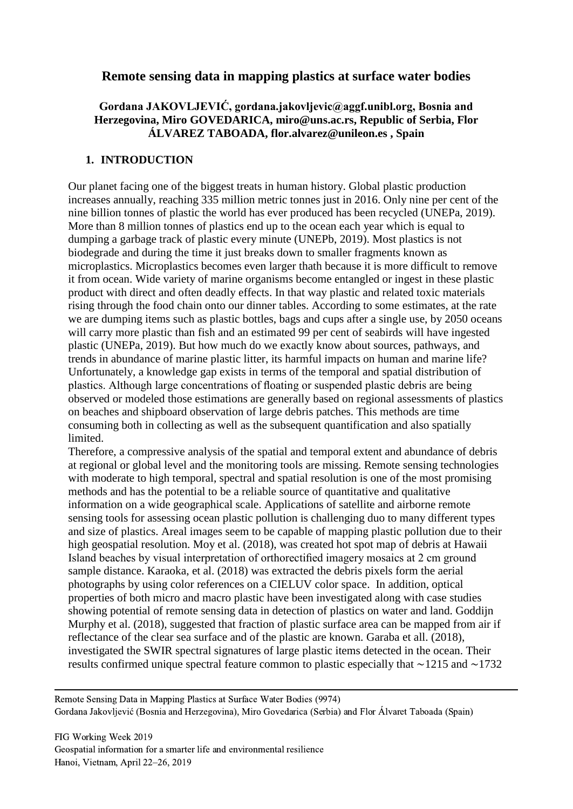## **Remote sensing data in mapping plastics at surface water bodies**

## **Gordana JAKOVLJEVIĆ, gordana.jakovljevic@aggf.unibl.org, Bosnia and Herzegovina, Miro GOVEDARICA, miro@uns.ac.rs, Republic of Serbia, Flor ÁLVAREZ TABOADA, flor.alvarez@unileon.es , Spain**

### **1. INTRODUCTION**

Our planet facing one of the biggest treats in human history. Global plastic production increases annually, reaching 335 million metric tonnes just in 2016. Only nine per cent of the nine billion tonnes of plastic the world has ever produced has been recycled (UNEPa, 2019). More than 8 million tonnes of plastics end up to the ocean each year which is equal to dumping a garbage track of plastic every minute (UNEPb, 2019). Most plastics is not biodegrade and during the time it just breaks down to smaller fragments known as microplastics. Microplastics becomes even larger thath because it is more difficult to remove it from ocean. Wide variety of marine organisms become entangled or ingest in these plastic product with direct and often deadly effects. In that way plastic and related toxic materials rising through the food chain onto our dinner tables. According to some estimates, at the rate we are dumping items such as plastic bottles, bags and cups after a single use, by 2050 oceans will carry more plastic than fish and an estimated 99 per cent of seabirds will have ingested plastic (UNEPa, 2019). But how much do we exactly know about sources, pathways, and trends in abundance of marine plastic litter, its harmful impacts on human and marine life? Unfortunately, a knowledge gap exists in terms of the temporal and spatial distribution of plastics. Although large concentrations of floating or suspended plastic debris are being observed or modeled those estimations are generally based on regional assessments of plastics on beaches and shipboard observation of large debris patches. This methods are time consuming both in collecting as well as the subsequent quantification and also spatially limited.

Therefore, a compressive analysis of the spatial and temporal extent and abundance of debris at regional or global level and the monitoring tools are missing. Remote sensing technologies with moderate to high temporal, spectral and spatial resolution is one of the most promising methods and has the potential to be a reliable source of quantitative and qualitative information on a wide geographical scale. Applications of satellite and airborne remote sensing tools for assessing ocean plastic pollution is challenging duo to many different types and size of plastics. Areal images seem to be capable of mapping plastic pollution due to their high geospatial resolution. Moy et al. (2018), was created hot spot map of debris at Hawaii Island beaches by visual interpretation of orthorectified imagery mosaics at 2 cm ground sample distance. Karaoka, et al. (2018) was extracted the debris pixels form the aerial photographs by using color references on a CIELUV color space. In addition, optical properties of both micro and macro plastic have been investigated along with case studies showing potential of remote sensing data in detection of plastics on water and land. Goddijn Murphy et al. (2018), suggested that fraction of plastic surface area can be mapped from air if reflectance of the clear sea surface and of the plastic are known. Garaba et all. (2018), investigated the SWIR spectral signatures of large plastic items detected in the ocean. Their results confirmed unique spectral feature common to plastic especially that ∼1215 and ∼1732

Remote Sensing Data in Mapping Plastics at Surface Water Bodies (9974) Gordana Jakovljević (Bosnia and Herzegovina), Miro Govedarica (Serbia) and Flor Álvaret Taboada (Spain)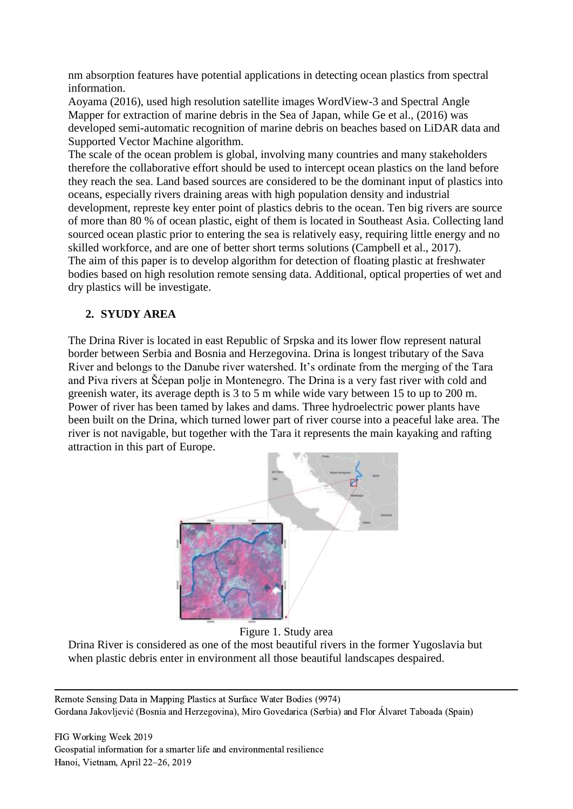nm absorption features have potential applications in detecting ocean plastics from spectral information.

Aoyama (2016), used high resolution satellite images WordView-3 and Spectral Angle Mapper for extraction of marine debris in the Sea of Japan, while Ge et al., (2016) was developed semi-automatic recognition of marine debris on beaches based on LiDAR data and Supported Vector Machine algorithm.

The scale of the ocean problem is global, involving many countries and many stakeholders therefore the collaborative effort should be used to intercept ocean plastics on the land before they reach the sea. Land based sources are considered to be the dominant input of plastics into oceans, especially rivers draining areas with high population density and industrial development, represte key enter point of plastics debris to the ocean. Ten big rivers are source of more than 80 % of ocean plastic, eight of them is located in Southeast Asia. Collecting land sourced ocean plastic prior to entering the sea is relatively easy, requiring little energy and no skilled workforce, and are one of better short terms solutions (Campbell et al., 2017). The aim of this paper is to develop algorithm for detection of floating plastic at freshwater bodies based on high resolution remote sensing data. Additional, optical properties of wet and dry plastics will be investigate.

## **2. SYUDY AREA**

The Drina River is located in east Republic of Srpska and its lower flow represent natural border between Serbia and Bosnia and Herzegovina. Drina is longest tributary of the Sava River and belongs to the Danube river watershed. It's ordinate from the merging of the Tara and Piva rivers at Šćepan polje in Montenegro. The Drina is a very fast river with cold and greenish water, its average depth is 3 to 5 m while wide vary between 15 to up to 200 m. Power of river has been tamed by lakes and dams. Three hydroelectric power plants have been built on the Drina, which turned lower part of river course into a peaceful lake area. The river is not navigable, but together with the Tara it represents the main kayaking and rafting attraction in this part of Europe.



Figure 1. Study area

Drina River is considered as one of the most beautiful rivers in the former Yugoslavia but when plastic debris enter in environment all those beautiful landscapes despaired.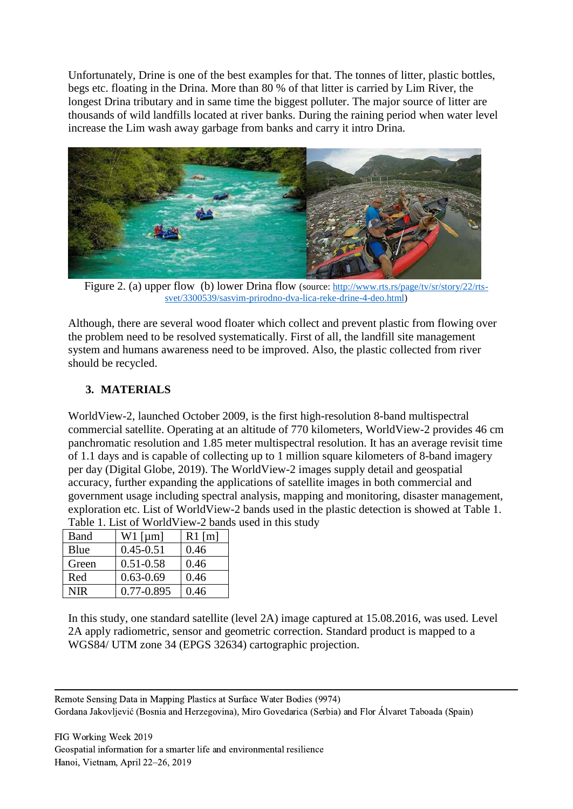Unfortunately, Drine is one of the best examples for that. The tonnes of litter, plastic bottles, begs etc. floating in the Drina. More than 80 % of that litter is carried by Lim River, the longest Drina tributary and in same time the biggest polluter. The major source of litter are thousands of wild landfills located at river banks. During the raining period when water level increase the Lim wash away garbage from banks and carry it intro Drina.



Figure 2. (a) upper flow (b) lower Drina flow (source: [http://www.rts.rs/page/tv/sr/story/22/rts](http://www.rts.rs/page/tv/sr/story/22/rts-svet/3300539/sasvim-prirodno-dva-lica-reke-drine-4-deo.html)[svet/3300539/sasvim-prirodno-dva-lica-reke-drine-4-deo.html\)](http://www.rts.rs/page/tv/sr/story/22/rts-svet/3300539/sasvim-prirodno-dva-lica-reke-drine-4-deo.html)

Although, there are several wood floater which collect and prevent plastic from flowing over the problem need to be resolved systematically. First of all, the landfill site management system and humans awareness need to be improved. Also, the plastic collected from river should be recycled.

## **3. MATERIALS**

WorldView-2, launched October 2009, is the first high-resolution 8-band multispectral commercial satellite. Operating at an altitude of 770 kilometers, WorldView-2 provides 46 cm panchromatic resolution and 1.85 meter multispectral resolution. It has an average revisit time of 1.1 days and is capable of collecting up to 1 million square kilometers of 8-band imagery per day (Digital Globe, 2019). The WorldView-2 images supply detail and geospatial accuracy, further expanding the applications of satellite images in both commercial and government usage including spectral analysis, mapping and monitoring, disaster management, exploration etc. List of WorldView-2 bands used in the plastic detection is showed at Table 1. Table 1. List of WorldView-2 bands used in this study

| Band  | $W1$ [µm]     | $R1$ [m] |
|-------|---------------|----------|
| Blue  | $0.45 - 0.51$ | 0.46     |
| Green | $0.51 - 0.58$ | 0.46     |
| Red   | $0.63 - 0.69$ | 0.46     |
| NIR   | 0.77-0.895    | 0.46     |

In this study, one standard satellite (level 2A) image captured at 15.08.2016, was used. Level 2A apply radiometric, sensor and geometric correction. Standard product is mapped to a WGS84/ UTM zone 34 (EPGS 32634) cartographic projection.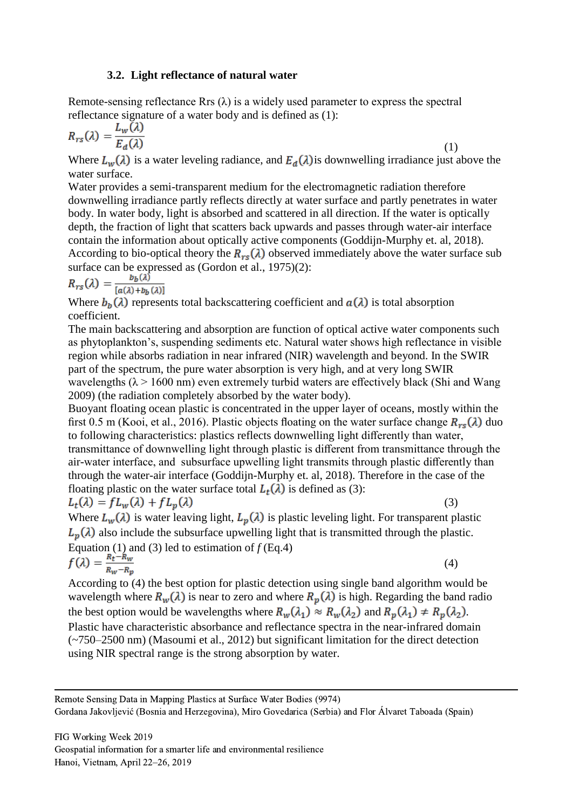#### **3.2. Light reflectance of natural water**

Remote-sensing reflectance Rrs  $(\lambda)$  is a widely used parameter to express the spectral reflectance signature of a water body and is defined as (1):

$$
R_{rs}(\lambda) = \frac{L_w(\lambda)}{E_d(\lambda)}\tag{1}
$$

Where  $L_w(\lambda)$  is a water leveling radiance, and  $E_d(\lambda)$  is downwelling irradiance just above the water surface.

Water provides a semi-transparent medium for the electromagnetic radiation therefore downwelling irradiance partly reflects directly at water surface and partly penetrates in water body. In water body, light is absorbed and scattered in all direction. If the water is optically depth, the fraction of light that scatters back upwards and passes through water-air interface contain the information about optically active components (Goddijn-Murphy et. al, 2018). According to bio-optical theory the  $R_{rs}(\lambda)$  observed immediately above the water surface sub surface can be expressed as (Gordon et al., 1975)(2):

$$
R_{rs}(\lambda) = \frac{b_b(\lambda)}{[a(\lambda) + b_b(\lambda)]}
$$

Where  $b_h(\lambda)$  represents total backscattering coefficient and  $a(\lambda)$  is total absorption coefficient.

The main backscattering and absorption are function of optical active water components such as phytoplankton's, suspending sediments etc. Natural water shows high reflectance in visible region while absorbs radiation in near infrared (NIR) wavelength and beyond. In the SWIR part of the spectrum, the pure water absorption is very high, and at very long SWIR wavelengths ( $\lambda$  > 1600 nm) even extremely turbid waters are effectively black (Shi and Wang 2009) (the radiation completely absorbed by the water body).

Buoyant floating ocean plastic is concentrated in the upper layer of oceans, mostly within the first 0.5 m (Kooi, et al., 2016). Plastic objects floating on the water surface change  $R_{rs}(\lambda)$  duo to following characteristics: plastics reflects downwelling light differently than water, transmittance of downwelling light through plastic is different from transmittance through the air-water interface, and subsurface upwelling light transmits through plastic differently than through the water-air interface (Goddijn-Murphy et. al, 2018). Therefore in the case of the floating plastic on the water surface total  $L_t(\lambda)$  is defined as (3):  $L_t(\lambda) = f L_w(\lambda) + f L_p(\lambda)$ (3)

Where  $L_w(\lambda)$  is water leaving light,  $L_p(\lambda)$  is plastic leveling light. For transparent plastic  $L_p(\lambda)$  also include the subsurface upwelling light that is transmitted through the plastic. Equation (1) and (3) led to estimation of  $f$  (Eq.4)

$$
f(\lambda) = \frac{R_t - R_w}{R_w - R_p} \tag{4}
$$

According to (4) the best option for plastic detection using single band algorithm would be wavelength where  $R_w(\lambda)$  is near to zero and where  $R_v(\lambda)$  is high. Regarding the band radio the best option would be wavelengths where  $R_w(\lambda_1) \approx R_w(\lambda_2)$  and  $R_p(\lambda_1) \neq R_p(\lambda_2)$ . Plastic have characteristic absorbance and reflectance spectra in the near-infrared domain (~750–2500 nm) (Masoumi et al., 2012) but significant limitation for the direct detection using NIR spectral range is the strong absorption by water.

Remote Sensing Data in Mapping Plastics at Surface Water Bodies (9974) Gordana Jakovljević (Bosnia and Herzegovina), Miro Govedarica (Serbia) and Flor Álvaret Taboada (Spain)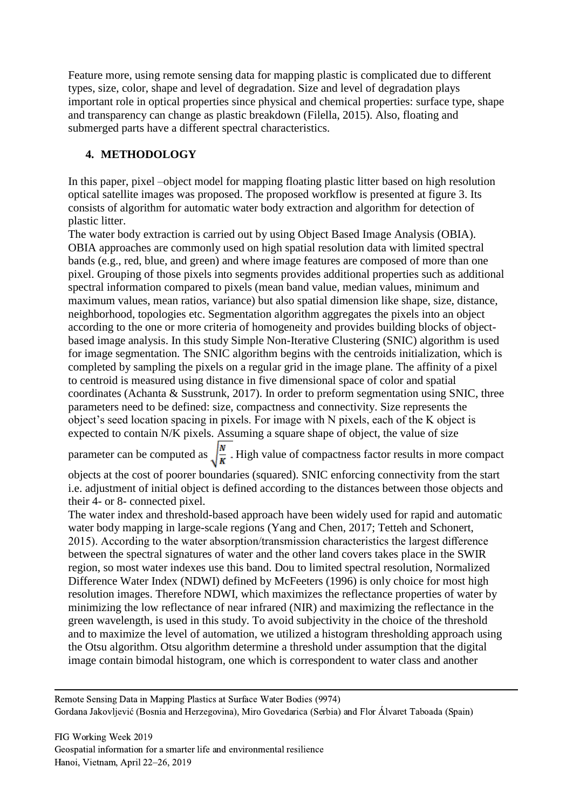Feature more, using remote sensing data for mapping plastic is complicated due to different types, size, color, shape and level of degradation. Size and level of degradation plays important role in optical properties since physical and chemical properties: surface type, shape and transparency can change as plastic breakdown (Filella, 2015). Also, floating and submerged parts have a different spectral characteristics.

## **4. METHODOLOGY**

In this paper, pixel –object model for mapping floating plastic litter based on high resolution optical satellite images was proposed. The proposed workflow is presented at figure 3. Its consists of algorithm for automatic water body extraction and algorithm for detection of plastic litter.

The water body extraction is carried out by using Object Based Image Analysis (OBIA). OBIA approaches are commonly used on high spatial resolution data with limited spectral bands (e.g., red, blue, and green) and where image features are composed of more than one pixel. Grouping of those pixels into segments provides additional properties such as additional spectral information compared to pixels (mean band value, median values, minimum and maximum values, mean ratios, variance) but also spatial dimension like shape, size, distance, neighborhood, topologies etc. Segmentation algorithm aggregates the pixels into an object according to the one or more criteria of homogeneity and provides building blocks of objectbased image analysis. In this study Simple Non-Iterative Clustering (SNIC) algorithm is used for image segmentation. The SNIC algorithm begins with the centroids initialization, which is completed by sampling the pixels on a regular grid in the image plane. The affinity of a pixel to centroid is measured using distance in five dimensional space of color and spatial coordinates (Achanta & Susstrunk, 2017). In order to preform segmentation using SNIC, three parameters need to be defined: size, compactness and connectivity. Size represents the object's seed location spacing in pixels. For image with N pixels, each of the K object is expected to contain N/K pixels. Assuming a square shape of object, the value of size

parameter can be computed as  $\sqrt{\frac{N}{K}}$ . High value of compactness factor results in more compact

objects at the cost of poorer boundaries (squared). SNIC enforcing connectivity from the start i.e. adjustment of initial object is defined according to the distances between those objects and their 4- or 8- connected pixel.

The water index and threshold-based approach have been widely used for rapid and automatic water body mapping in large-scale regions (Yang and Chen, 2017; Tetteh and Schonert, 2015). According to the water absorption/transmission characteristics the largest difference between the spectral signatures of water and the other land covers takes place in the SWIR region, so most water indexes use this band. Dou to limited spectral resolution, Normalized Difference Water Index (NDWI) defined by McFeeters (1996) is only choice for most high resolution images. Therefore NDWI, which maximizes the reflectance properties of water by minimizing the low reflectance of near infrared (NIR) and maximizing the reflectance in the green wavelength, is used in this study. To avoid subjectivity in the choice of the threshold and to maximize the level of automation, we utilized a histogram thresholding approach using the Otsu algorithm. Otsu algorithm determine a threshold under assumption that the digital image contain bimodal histogram, one which is correspondent to water class and another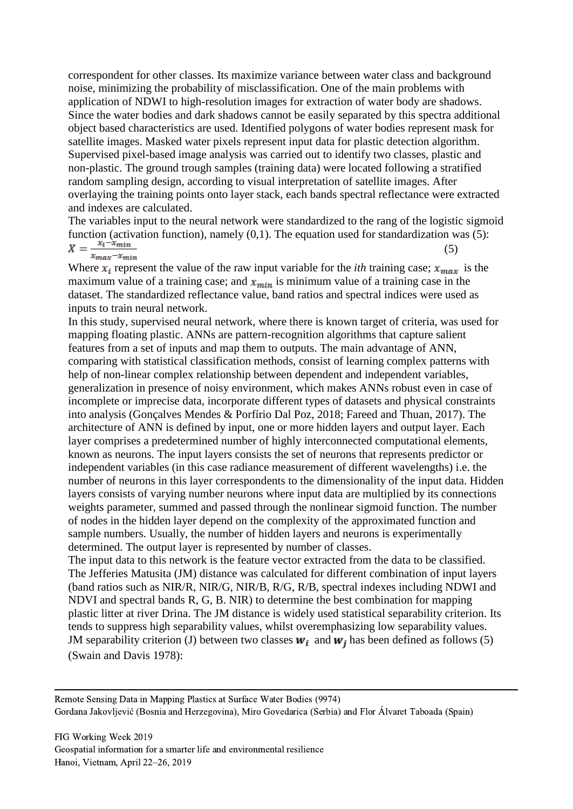correspondent for other classes. Its maximize variance between water class and background noise, minimizing the probability of misclassification. One of the main problems with application of NDWI to high-resolution images for extraction of water body are shadows. Since the water bodies and dark shadows cannot be easily separated by this spectra additional object based characteristics are used. Identified polygons of water bodies represent mask for satellite images. Masked water pixels represent input data for plastic detection algorithm. Supervised pixel-based image analysis was carried out to identify two classes, plastic and non-plastic. The ground trough samples (training data) were located following a stratified random sampling design, according to visual interpretation of satellite images. After overlaying the training points onto layer stack, each bands spectral reflectance were extracted and indexes are calculated.

The variables input to the neural network were standardized to the rang of the logistic sigmoid function (activation function), namely (0,1). The equation used for standardization was (5): (5)  $x_{max} - x_{min}$ 

Where  $x_i$  represent the value of the raw input variable for the *ith* training case;  $x_{max}$  is the maximum value of a training case; and  $x_{min}$  is minimum value of a training case in the dataset. The standardized reflectance value, band ratios and spectral indices were used as inputs to train neural network.

In this study, supervised neural network, where there is known target of criteria, was used for mapping floating plastic. ANNs are pattern-recognition algorithms that capture salient features from a set of inputs and map them to outputs. The main advantage of ANN, comparing with statistical classification methods, consist of learning complex patterns with help of non-linear complex relationship between dependent and independent variables, generalization in presence of noisy environment, which makes ANNs robust even in case of incomplete or imprecise data, incorporate different types of datasets and physical constraints into analysis (Gonçalves Mendes & Porfírio Dal Poz, 2018; Fareed and Thuan, 2017). The architecture of ANN is defined by input, one or more hidden layers and output layer. Each layer comprises a predetermined number of highly interconnected computational elements, known as neurons. The input layers consists the set of neurons that represents predictor or independent variables (in this case radiance measurement of different wavelengths) i.e. the number of neurons in this layer correspondents to the dimensionality of the input data. Hidden layers consists of varying number neurons where input data are multiplied by its connections weights parameter, summed and passed through the nonlinear sigmoid function. The number of nodes in the hidden layer depend on the complexity of the approximated function and sample numbers. Usually, the number of hidden layers and neurons is experimentally determined. The output layer is represented by number of classes.

The input data to this network is the feature vector extracted from the data to be classified. The Jefferies Matusita (JM) distance was calculated for different combination of input layers (band ratios such as NIR/R, NIR/G, NIR/B, R/G, R/B, spectral indexes including NDWI and NDVI and spectral bands R, G, B. NIR) to determine the best combination for mapping plastic litter at river Drina. The JM distance is widely used statistical separability criterion. Its tends to suppress high separability values, whilst overemphasizing low separability values. JM separability criterion (J) between two classes  $w_i$  and  $w_j$  has been defined as follows (5) (Swain and Davis 1978):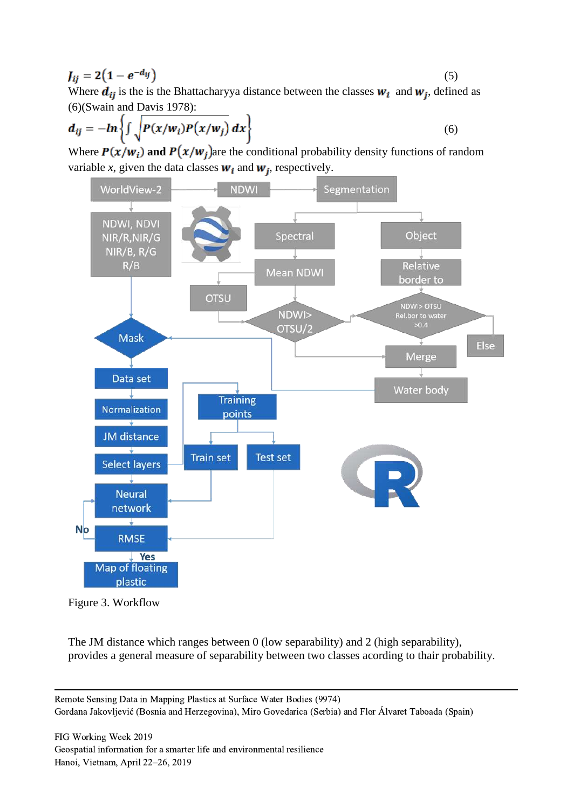$$
J_{ij} = 2(1 - e^{-d_{ij}})
$$
 (5)

Where  $d_{ij}$  is the is the Bhattacharyya distance between the classes  $w_i$  and  $w_j$ , defined as (6)(Swain and Davis 1978):

$$
d_{ij} = -\ln\left\{\int \sqrt{P(x/w_i)P(x/w_j)} dx\right\}
$$
 (6)

Where  $P(x/w_i)$  and  $P(x/w_i)$  are the conditional probability density functions of random variable *x*, given the data classes  $w_i$  and  $w_j$ , respectively.





The JM distance which ranges between 0 (low separability) and 2 (high separability), provides a general measure of separability between two classes acording to thair probability.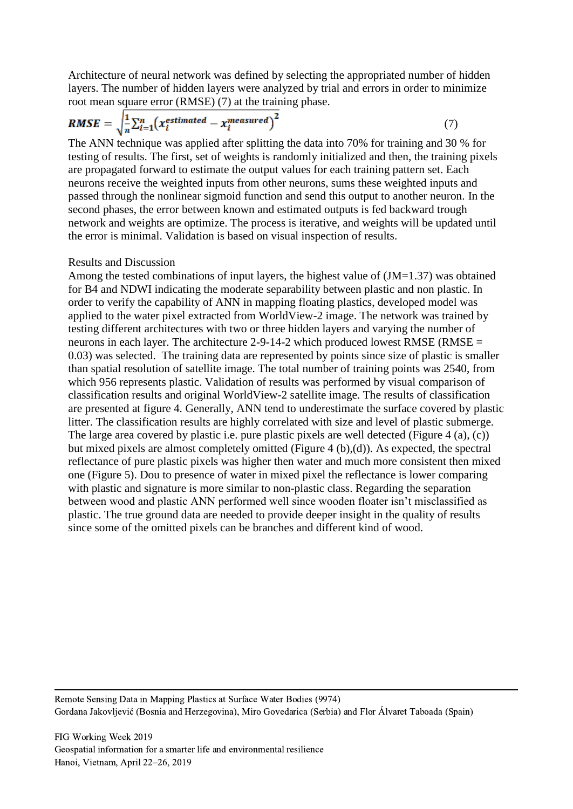Architecture of neural network was defined by selecting the appropriated number of hidden layers. The number of hidden layers were analyzed by trial and errors in order to minimize root mean square error (RMSE) (7) at the training phase.

$$
RMSE = \sqrt{\frac{1}{n} \sum_{i=1}^{n} (x_i^{estimated} - x_i^{measured})^2}
$$
 (7)

The ANN technique was applied after splitting the data into 70% for training and 30 % for testing of results. The first, set of weights is randomly initialized and then, the training pixels are propagated forward to estimate the output values for each training pattern set. Each neurons receive the weighted inputs from other neurons, sums these weighted inputs and passed through the nonlinear sigmoid function and send this output to another neuron. In the second phases, the error between known and estimated outputs is fed backward trough network and weights are optimize. The process is iterative, and weights will be updated until the error is minimal. Validation is based on visual inspection of results.

#### Results and Discussion

Among the tested combinations of input layers, the highest value of (JM=1.37) was obtained for B4 and NDWI indicating the moderate separability between plastic and non plastic. In order to verify the capability of ANN in mapping floating plastics, developed model was applied to the water pixel extracted from WorldView-2 image. The network was trained by testing different architectures with two or three hidden layers and varying the number of neurons in each layer. The architecture 2-9-14-2 which produced lowest RMSE (RMSE  $=$ 0.03) was selected. The training data are represented by points since size of plastic is smaller than spatial resolution of satellite image. The total number of training points was 2540, from which 956 represents plastic. Validation of results was performed by visual comparison of classification results and original WorldView-2 satellite image. The results of classification are presented at figure 4. Generally, ANN tend to underestimate the surface covered by plastic litter. The classification results are highly correlated with size and level of plastic submerge. The large area covered by plastic i.e. pure plastic pixels are well detected (Figure 4 (a), (c)) but mixed pixels are almost completely omitted (Figure 4 (b),(d)). As expected, the spectral reflectance of pure plastic pixels was higher then water and much more consistent then mixed one (Figure 5). Dou to presence of water in mixed pixel the reflectance is lower comparing with plastic and signature is more similar to non-plastic class. Regarding the separation between wood and plastic ANN performed well since wooden floater isn't misclassified as plastic. The true ground data are needed to provide deeper insight in the quality of results since some of the omitted pixels can be branches and different kind of wood.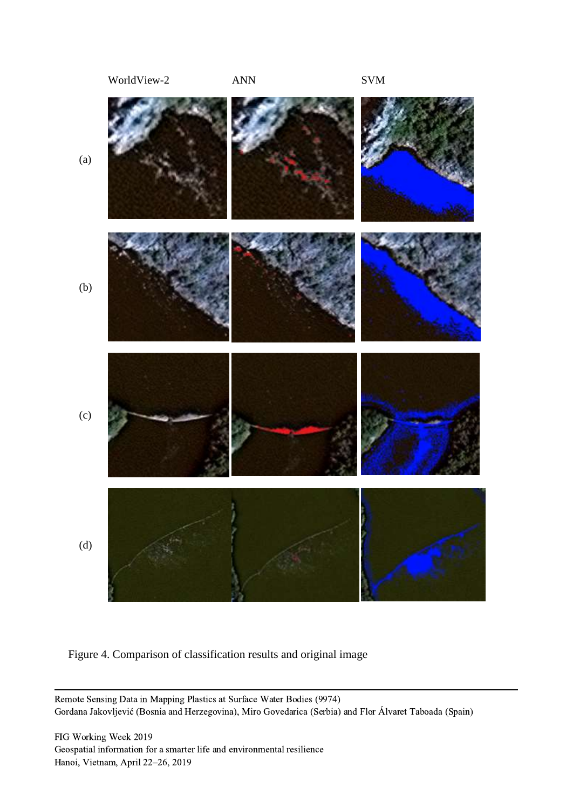

Figure 4. Comparison of classification results and original image

Remote Sensing Data in Mapping Plastics at Surface Water Bodies (9974) Gordana Jakovljević (Bosnia and Herzegovina), Miro Govedarica (Serbia) and Flor Álvaret Taboada (Spain)

FIG Working Week 2019 Geospatial information for a smarter life and environmental resilience Hanoi, Vietnam, April 22–26, 2019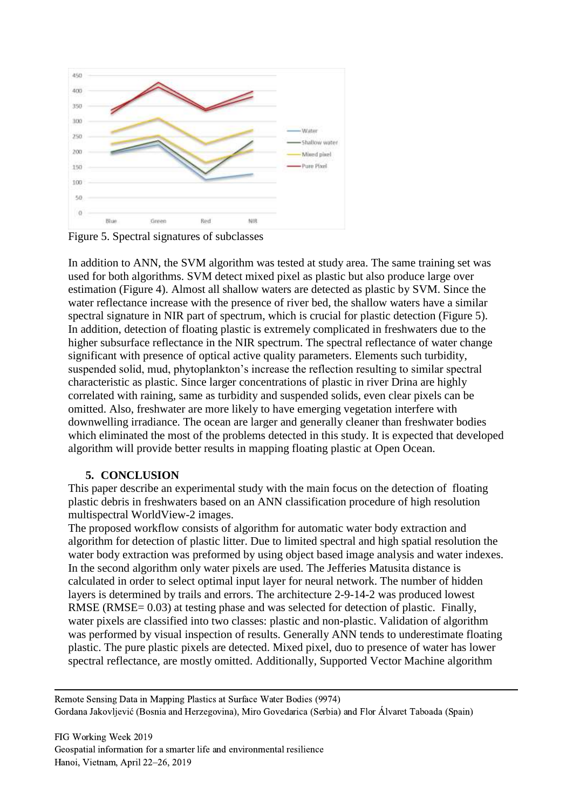

Figure 5. Spectral signatures of subclasses

In addition to ANN, the SVM algorithm was tested at study area. The same training set was used for both algorithms. SVM detect mixed pixel as plastic but also produce large over estimation (Figure 4). Almost all shallow waters are detected as plastic by SVM. Since the water reflectance increase with the presence of river bed, the shallow waters have a similar spectral signature in NIR part of spectrum, which is crucial for plastic detection (Figure 5). In addition, detection of floating plastic is extremely complicated in freshwaters due to the higher subsurface reflectance in the NIR spectrum. The spectral reflectance of water change significant with presence of optical active quality parameters. Elements such turbidity, suspended solid, mud, phytoplankton's increase the reflection resulting to similar spectral characteristic as plastic. Since larger concentrations of plastic in river Drina are highly correlated with raining, same as turbidity and suspended solids, even clear pixels can be omitted. Also, freshwater are more likely to have emerging vegetation interfere with downwelling irradiance. The ocean are larger and generally cleaner than freshwater bodies which eliminated the most of the problems detected in this study. It is expected that developed algorithm will provide better results in mapping floating plastic at Open Ocean.

#### **5. CONCLUSION**

This paper describe an experimental study with the main focus on the detection of floating plastic debris in freshwaters based on an ANN classification procedure of high resolution multispectral WorldView-2 images.

The proposed workflow consists of algorithm for automatic water body extraction and algorithm for detection of plastic litter. Due to limited spectral and high spatial resolution the water body extraction was preformed by using object based image analysis and water indexes. In the second algorithm only water pixels are used. The Jefferies Matusita distance is calculated in order to select optimal input layer for neural network. The number of hidden layers is determined by trails and errors. The architecture 2-9-14-2 was produced lowest RMSE (RMSE= 0.03) at testing phase and was selected for detection of plastic. Finally, water pixels are classified into two classes: plastic and non-plastic. Validation of algorithm was performed by visual inspection of results. Generally ANN tends to underestimate floating plastic. The pure plastic pixels are detected. Mixed pixel, duo to presence of water has lower spectral reflectance, are mostly omitted. Additionally, Supported Vector Machine algorithm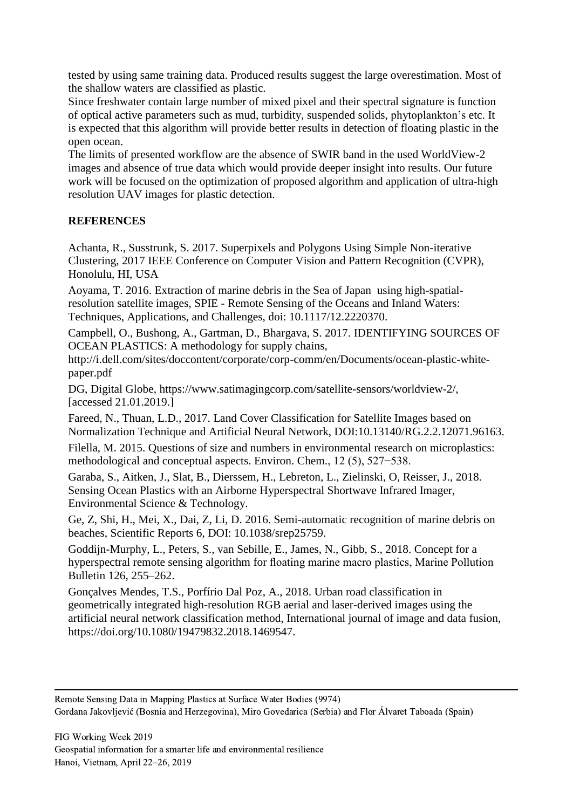tested by using same training data. Produced results suggest the large overestimation. Most of the shallow waters are classified as plastic.

Since freshwater contain large number of mixed pixel and their spectral signature is function of optical active parameters such as mud, turbidity, suspended solids, phytoplankton's etc. It is expected that this algorithm will provide better results in detection of floating plastic in the open ocean.

The limits of presented workflow are the absence of SWIR band in the used WorldView-2 images and absence of true data which would provide deeper insight into results. Our future work will be focused on the optimization of proposed algorithm and application of ultra-high resolution UAV images for plastic detection.

### **REFERENCES**

Achanta, R., Susstrunk, S. 2017. Superpixels and Polygons Using Simple Non-iterative Clustering, 2017 IEEE Conference on Computer Vision and Pattern Recognition (CVPR), Honolulu, HI, USA

Aoyama, T. 2016. Extraction of marine debris in the Sea of Japan using high-spatialresolution satellite images, SPIE - Remote Sensing of the Oceans and Inland Waters: Techniques, Applications, and Challenges, doi: 10.1117/12.2220370.

Campbell, O., Bushong, A., Gartman, D., Bhargava, S. 2017. IDENTIFYING SOURCES OF OCEAN PLASTICS: A methodology for supply chains,

http://i.dell.com/sites/doccontent/corporate/corp-comm/en/Documents/ocean-plastic-whitepaper.pdf

DG, Digital Globe, https://www.satimagingcorp.com/satellite-sensors/worldview-2/, [accessed 21.01.2019.]

Fareed, N., Thuan, L.D., 2017. Land Cover Classification for Satellite Images based on Normalization Technique and Artificial Neural Network, DOI:10.13140/RG.2.2.12071.96163.

Filella, M. 2015. Questions of size and numbers in environmental research on microplastics: methodological and conceptual aspects. Environ. Chem., 12 (5), 527−538.

Garaba, S., Aitken, J., Slat, B., Dierssem, H., Lebreton, L., Zielinski, O, Reisser, J., 2018. Sensing Ocean Plastics with an Airborne Hyperspectral Shortwave Infrared Imager, Environmental Science & Technology.

Ge, Z, Shi, H., Mei, X., Dai, Z, Li, D. 2016. Semi-automatic recognition of marine debris on beaches, Scientific Reports 6, DOI: 10.1038/srep25759.

Goddijn-Murphy, L., Peters, S., van Sebille, E., James, N., Gibb, S., 2018. Concept for a hyperspectral remote sensing algorithm for floating marine macro plastics, Marine Pollution Bulletin 126, 255–262.

Gonçalves Mendes, T.S., Porfírio Dal Poz, A., 2018. Urban road classification in geometrically integrated high-resolution RGB aerial and laser-derived images using the artificial neural network classification method, International journal of image and data fusion, https://doi.org/10.1080/19479832.2018.1469547.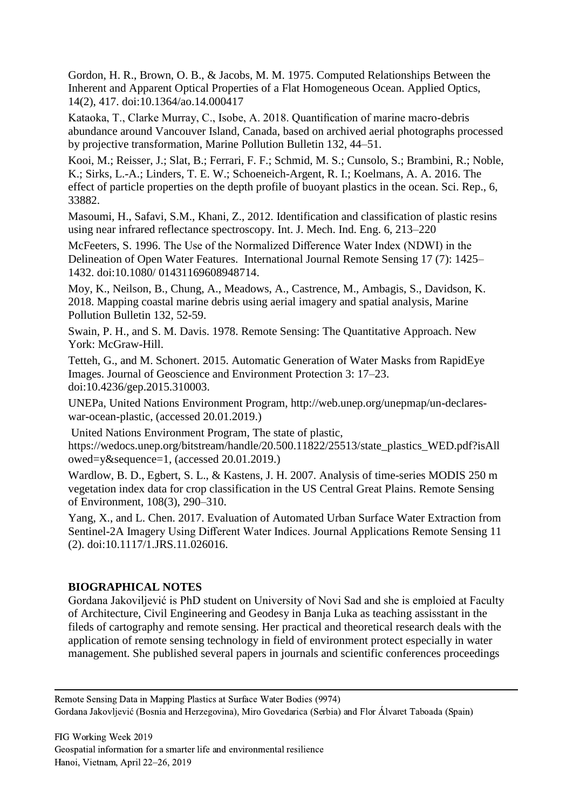Gordon, H. R., Brown, O. B., & Jacobs, M. M. 1975. Computed Relationships Between the Inherent and Apparent Optical Properties of a Flat Homogeneous Ocean. Applied Optics, 14(2), 417. doi:10.1364/ao.14.000417

Kataoka, T., Clarke Murray, C., Isobe, A. 2018. Quantification of marine macro-debris abundance around Vancouver Island, Canada, based on archived aerial photographs processed by projective transformation, Marine Pollution Bulletin 132, 44–51.

Kooi, M.; Reisser, J.; Slat, B.; Ferrari, F. F.; Schmid, M. S.; Cunsolo, S.; Brambini, R.; Noble, K.; Sirks, L.-A.; Linders, T. E. W.; Schoeneich-Argent, R. I.; Koelmans, A. A. 2016. The effect of particle properties on the depth profile of buoyant plastics in the ocean. Sci. Rep., 6, 33882.

Masoumi, H., Safavi, S.M., Khani, Z., 2012. Identification and classification of plastic resins using near infrared reflectance spectroscopy. Int. J. Mech. Ind. Eng. 6, 213–220

McFeeters, S. 1996. The Use of the Normalized Difference Water Index (NDWI) in the Delineation of Open Water Features. International Journal Remote Sensing 17 (7): 1425– 1432. doi:10.1080/ 01431169608948714.

Moy, K., Neilson, B., Chung, A., Meadows, A., Castrence, M., Ambagis, S., Davidson, K. 2018. Mapping coastal marine debris using aerial imagery and spatial analysis, Marine Pollution Bulletin 132, 52-59.

Swain, P. H., and S. M. Davis. 1978. Remote Sensing: The Quantitative Approach. New York: McGraw-Hill.

Tetteh, G., and M. Schonert. 2015. Automatic Generation of Water Masks from RapidEye Images. Journal of Geoscience and Environment Protection 3: 17–23. doi:10.4236/gep.2015.310003.

UNEPa, United Nations Environment Program, http://web.unep.org/unepmap/un-declareswar-ocean-plastic, (accessed 20.01.2019.)

United Nations Environment Program, The state of plastic,

https://wedocs.unep.org/bitstream/handle/20.500.11822/25513/state\_plastics\_WED.pdf?isAll owed=y&sequence=1, (accessed 20.01.2019.)

Wardlow, B. D., Egbert, S. L., & Kastens, J. H. 2007. Analysis of time-series MODIS 250 m vegetation index data for crop classification in the US Central Great Plains. Remote Sensing of Environment, 108(3), 290–310.

Yang, X., and L. Chen. 2017. Evaluation of Automated Urban Surface Water Extraction from Sentinel-2A Imagery Using Different Water Indices. Journal Applications Remote Sensing 11 (2). doi:10.1117/1.JRS.11.026016.

### **BIOGRAPHICAL NOTES**

Gordana Jakoviljević is PhD student on University of Novi Sad and she is emploied at Faculty of Architecture, Civil Engineering and Geodesy in Banja Luka as teaching assisstant in the fileds of cartography and remote sensing. Her practical and theoretical research deals with the application of remote sensing technology in field of environment protect especially in water management. She published several papers in journals and scientific conferences proceedings